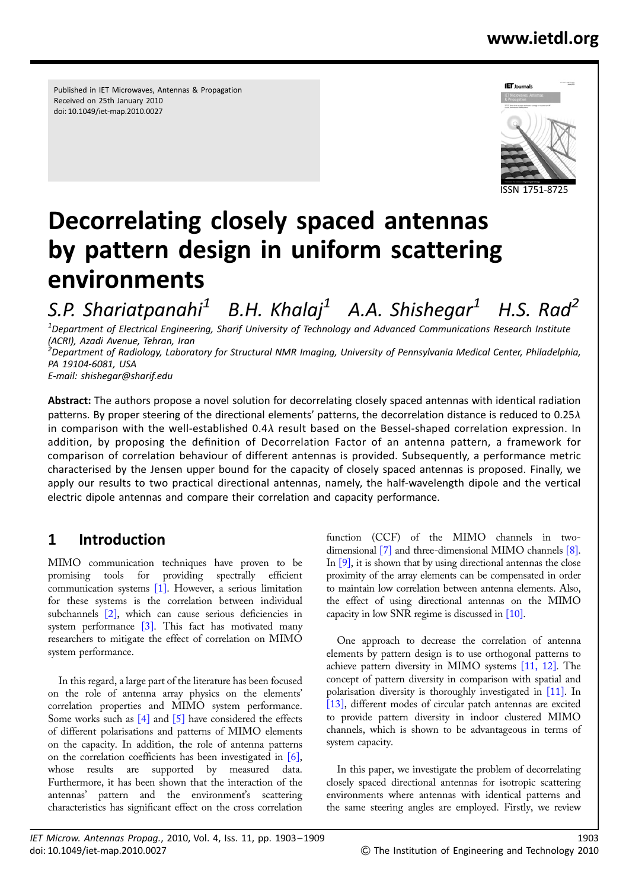Published in IET Microwaves, Antennas & Propagation Received on 25th January 2010 doi: 10.1049/iet-map.2010.0027



# Decorrelating closely spaced antennas by pattern design in uniform scattering environments

S.P. Shariatpanahi<sup>1</sup> B.H. Khalaj<sup>1</sup> A.A. Shishegar<sup>1</sup> H.S. Rad<sup>2</sup>  $^{\rm 1}$ Department of Electrical Engineering, Sharif University of Technology and Advanced Communications Research Institute (ACRI), Azadi Avenue, Tehran, Iran

<sup>2</sup> Department of Radiology, Laboratory for Structural NMR Imaging, University of Pennsylvania Medical Center, Philadelphia, PA 19104-6081, USA

E-mail: shishegar@sharif.edu

Abstract: The authors propose a novel solution for decorrelating closely spaced antennas with identical radiation patterns. By proper steering of the directional elements' patterns, the decorrelation distance is reduced to 0.25 $\lambda$ in comparison with the well-established  $0.4\lambda$  result based on the Bessel-shaped correlation expression. In addition, by proposing the definition of Decorrelation Factor of an antenna pattern, a framework for comparison of correlation behaviour of different antennas is provided. Subsequently, a performance metric characterised by the Jensen upper bound for the capacity of closely spaced antennas is proposed. Finally, we apply our results to two practical directional antennas, namely, the half-wavelength dipole and the vertical electric dipole antennas and compare their correlation and capacity performance.

# 1 Introduction

MIMO communication techniques have proven to be promising tools for providing spectrally efficient communication systems [1]. However, a serious limitation for these systems is the correlation between individual subchannels [2], which can cause serious deficiencies in system performance  $[3]$ . This fact has motivated many researchers to mitigate the effect of correlation on MIMO system performance.

In this regard, a large part of the literature has been focused on the role of antenna array physics on the elements' correlation properties and MIMO system performance. Some works such as  $[4]$  and  $[5]$  have considered the effects of different polarisations and patterns of MIMO elements on the capacity. In addition, the role of antenna patterns on the correlation coefficients has been investigated in [6], whose results are supported by measured data. Furthermore, it has been shown that the interaction of the antennas' pattern and the environment's scattering characteristics has significant effect on the cross correlation

function (CCF) of the MIMO channels in twodimensional [7] and three-dimensional MIMO channels [8]. In [9], it is shown that by using directional antennas the close proximity of the array elements can be compensated in order to maintain low correlation between antenna elements. Also, the effect of using directional antennas on the MIMO capacity in low SNR regime is discussed in [10].

One approach to decrease the correlation of antenna elements by pattern design is to use orthogonal patterns to achieve pattern diversity in MIMO systems [11, 12]. The concept of pattern diversity in comparison with spatial and polarisation diversity is thoroughly investigated in [11]. In [13], different modes of circular patch antennas are excited to provide pattern diversity in indoor clustered MIMO channels, which is shown to be advantageous in terms of system capacity.

In this paper, we investigate the problem of decorrelating closely spaced directional antennas for isotropic scattering environments where antennas with identical patterns and the same steering angles are employed. Firstly, we review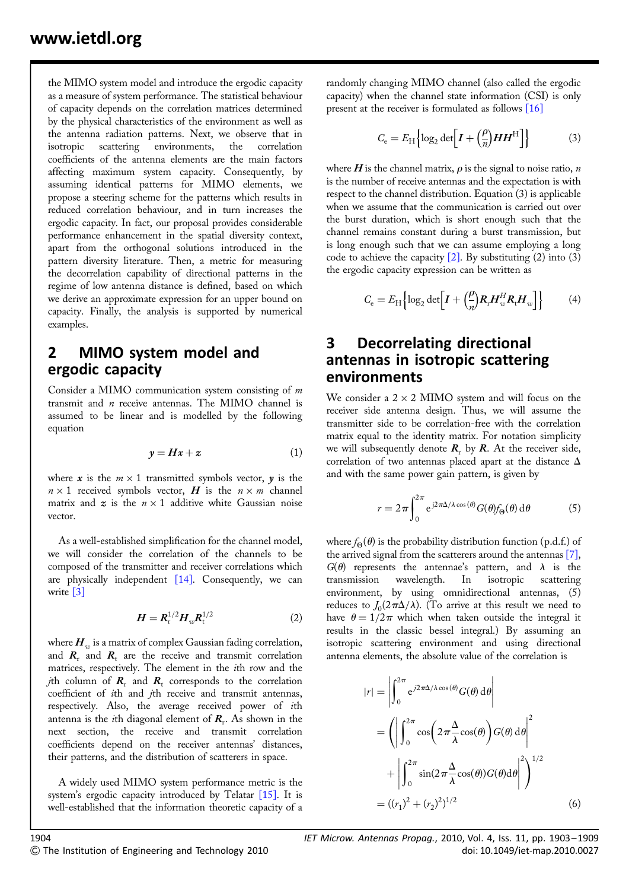the MIMO system model and introduce the ergodic capacity as a measure of system performance. The statistical behaviour of capacity depends on the correlation matrices determined by the physical characteristics of the environment as well as the antenna radiation patterns. Next, we observe that in isotropic scattering environments, the correlation coefficients of the antenna elements are the main factors affecting maximum system capacity. Consequently, by assuming identical patterns for MIMO elements, we propose a steering scheme for the patterns which results in reduced correlation behaviour, and in turn increases the ergodic capacity. In fact, our proposal provides considerable performance enhancement in the spatial diversity context, apart from the orthogonal solutions introduced in the pattern diversity literature. Then, a metric for measuring the decorrelation capability of directional patterns in the regime of low antenna distance is defined, based on which we derive an approximate expression for an upper bound on capacity. Finally, the analysis is supported by numerical examples.

## 2 MIMO system model and ergodic capacity

Consider a MIMO communication system consisting of m transmit and  $n$  receive antennas. The MIMO channel is assumed to be linear and is modelled by the following equation

$$
y = Hx + z \tag{1}
$$

where x is the  $m \times 1$  transmitted symbols vector, y is the  $n \times 1$  received symbols vector, H is the  $n \times m$  channel matrix and  $z$  is the  $n \times 1$  additive white Gaussian noise vector.

As a well-established simplification for the channel model, we will consider the correlation of the channels to be composed of the transmitter and receiver correlations which are physically independent [14]. Consequently, we can write [3]

$$
H = R_{\rm r}^{1/2} H_w R_{\rm t}^{1/2} \tag{2}
$$

where  $H_{\text{av}}$  is a matrix of complex Gaussian fading correlation, and  $R_r$ , and  $R_t$  are the receive and transmit correlation matrices, respectively. The element in the ith row and the *j*th column of  $R_r$  and  $R_t$  corresponds to the correlation coefficient of ith and jth receive and transmit antennas, respectively. Also, the average received power of ith antenna is the *i*th diagonal element of  $R_r$ . As shown in the next section, the receive and transmit correlation coefficients depend on the receiver antennas' distances, their patterns, and the distribution of scatterers in space.

A widely used MIMO system performance metric is the system's ergodic capacity introduced by Telatar [15]. It is well-established that the information theoretic capacity of a

randomly changing MIMO channel (also called the ergodic capacity) when the channel state information (CSI) is only present at the receiver is formulated as follows [16]

$$
C_{\rm e} = E_{\rm H} \left\{ \log_2 \det \left[ I + \left( \frac{\rho}{n} \right) H H^{\rm H} \right] \right\} \tag{3}
$$

where  $H$  is the channel matrix,  $\rho$  is the signal to noise ratio,  $n$ is the number of receive antennas and the expectation is with respect to the channel distribution. Equation (3) is applicable when we assume that the communication is carried out over the burst duration, which is short enough such that the channel remains constant during a burst transmission, but is long enough such that we can assume employing a long code to achieve the capacity  $[2]$ . By substituting (2) into (3) the ergodic capacity expression can be written as

$$
C_{\rm e} = E_{\rm H} \left\{ \log_2 \det \left[ I + \left( \frac{\rho}{n} \right) R_{\rm r} H_w^H R_{\rm t} H_w \right] \right\} \tag{4}
$$

### 3 Decorrelating directional antennas in isotropic scattering environments

We consider a  $2 \times 2$  MIMO system and will focus on the receiver side antenna design. Thus, we will assume the transmitter side to be correlation-free with the correlation matrix equal to the identity matrix. For notation simplicity we will subsequently denote  $R_r$  by  $R$ . At the receiver side, correlation of two antennas placed apart at the distance  $\Delta$ and with the same power gain pattern, is given by

$$
r = 2\pi \int_0^{2\pi} e^{j2\pi\Delta/\lambda \cos(\theta)} G(\theta) f_\Theta(\theta) d\theta \tag{5}
$$

where  $f_{\Theta}(\theta)$  is the probability distribution function (p.d.f.) of the arrived signal from the scatterers around the antennas [7],  $G(\theta)$  represents the antennae's pattern, and  $\lambda$  is the transmission wavelength. In isotropic scattering environment, by using omnidirectional antennas,  $(5)$ reduces to  $J_0(2\pi\Delta/\lambda)$ . (To arrive at this result we need to have  $\theta = 1/2\pi$  which when taken outside the integral it results in the classic bessel integral.) By assuming an isotropic scattering environment and using directional antenna elements, the absolute value of the correlation is

$$
|r| = \left| \int_0^{2\pi} e^{j2\pi\Delta/\lambda \cos(\theta)} G(\theta) d\theta \right|
$$
  
= 
$$
\left( \left| \int_0^{2\pi} \cos\left(2\pi\frac{\Delta}{\lambda}\cos(\theta)\right) G(\theta) d\theta \right|^2 + \left| \int_0^{2\pi} \sin(2\pi\frac{\Delta}{\lambda}\cos(\theta)) G(\theta) d\theta \right|^2 \right)^{1/2}
$$
  
= 
$$
((r_1)^2 + (r_2)^2)^{1/2}
$$
(6)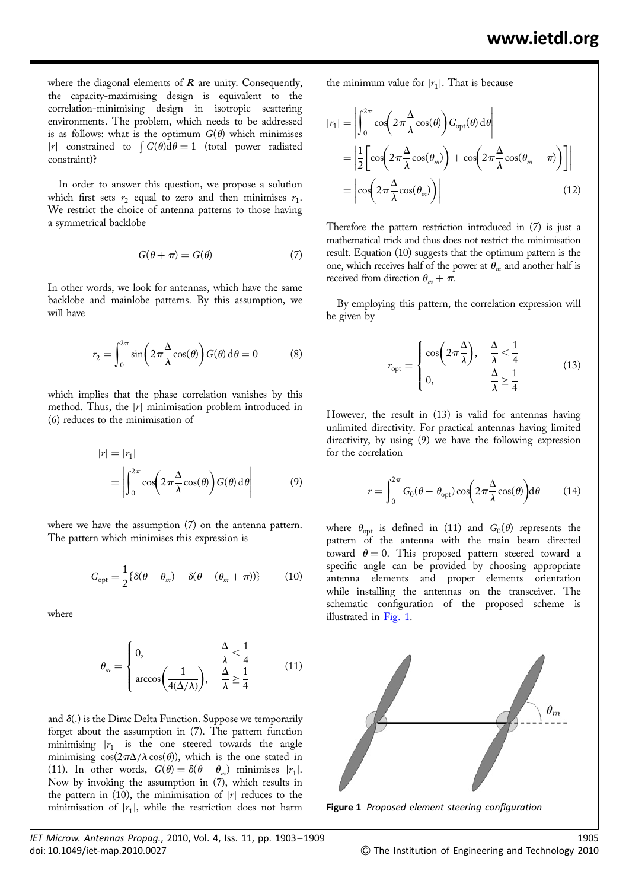where the diagonal elements of  $R$  are unity. Consequently, the capacity-maximising design is equivalent to the correlation-minimising design in isotropic scattering environments. The problem, which needs to be addressed is as follows: what is the optimum  $G(\theta)$  which minimises |r| constrained to  $\int G(\theta) d\theta = 1$  (total power radiated constraint)?

In order to answer this question, we propose a solution which first sets  $r_2$  equal to zero and then minimises  $r_1$ . We restrict the choice of antenna patterns to those having a symmetrical backlobe

$$
G(\theta + \pi) = G(\theta) \tag{7}
$$

In other words, we look for antennas, which have the same backlobe and mainlobe patterns. By this assumption, we will have

$$
r_2 = \int_0^{2\pi} \sin\left(2\pi \frac{\Delta}{\lambda} \cos(\theta)\right) G(\theta) \, d\theta = 0 \tag{8}
$$

which implies that the phase correlation vanishes by this method. Thus, the  $|r|$  minimisation problem introduced in (6) reduces to the minimisation of

$$
|r| = |r_1|
$$
  
= 
$$
\left| \int_0^{2\pi} \cos\left(2\pi \frac{\Delta}{\lambda} \cos(\theta)\right) G(\theta) d\theta \right|
$$
 (9)

where we have the assumption (7) on the antenna pattern. The pattern which minimises this expression is

$$
G_{\text{opt}} = \frac{1}{2} \{ \delta(\theta - \theta_m) + \delta(\theta - (\theta_m + \pi)) \} \tag{10}
$$

where

$$
\theta_m = \begin{cases} 0, & \frac{\Delta}{\lambda} < \frac{1}{4} \\ \arccos\left(\frac{1}{4(\Delta/\lambda)}\right), & \frac{\Delta}{\lambda} \ge \frac{1}{4} \end{cases} \tag{11}
$$

and  $\delta(.)$  is the Dirac Delta Function. Suppose we temporarily forget about the assumption in (7). The pattern function minimising  $|r_1|$  is the one steered towards the angle minimising  $cos(2\pi\Delta/\lambda cos(\theta))$ , which is the one stated in (11). In other words,  $G(\theta) = \delta(\theta - \theta_m)$  minimises |r<sub>1</sub>|. Now by invoking the assumption in (7), which results in the pattern in (10), the minimisation of  $|r|$  reduces to the minimisation of  $|r_1|$ , while the restriction does not harm the minimum value for  $|r_1|$ . That is because

$$
|r_1| = \left| \int_0^{2\pi} \cos\left(2\pi \frac{\Delta}{\lambda} \cos(\theta)\right) G_{\text{opt}}(\theta) d\theta \right|
$$
  
= 
$$
\left| \frac{1}{2} \left[ \cos\left(2\pi \frac{\Delta}{\lambda} \cos(\theta_m)\right) + \cos\left(2\pi \frac{\Delta}{\lambda} \cos(\theta_m + \pi)\right) \right] \right|
$$
  
= 
$$
\left| \cos\left(2\pi \frac{\Delta}{\lambda} \cos(\theta_m)\right) \right|
$$
(12)

Therefore the pattern restriction introduced in (7) is just a mathematical trick and thus does not restrict the minimisation result. Equation (10) suggests that the optimum pattern is the one, which receives half of the power at  $\theta_m$  and another half is received from direction  $\theta_m + \pi$ .

By employing this pattern, the correlation expression will be given by

$$
r_{\rm opt} = \begin{cases} \cos\left(2\pi\frac{\Delta}{\lambda}\right), & \frac{\Delta}{\lambda} < \frac{1}{4} \\ 0, & \frac{\Delta}{\lambda} \ge \frac{1}{4} \end{cases}
$$
(13)

However, the result in (13) is valid for antennas having unlimited directivity. For practical antennas having limited directivity, by using (9) we have the following expression for the correlation

$$
r = \int_0^{2\pi} G_0(\theta - \theta_{\rm opt}) \cos\left(2\pi \frac{\Delta}{\lambda} \cos(\theta)\right) d\theta \qquad (14)
$$

where  $\theta_{\text{opt}}$  is defined in (11) and  $G_0(\theta)$  represents the pattern of the antenna with the main beam directed toward  $\theta = 0$ . This proposed pattern steered toward a specific angle can be provided by choosing appropriate antenna elements and proper elements orientation while installing the antennas on the transceiver. The schematic configuration of the proposed scheme is illustrated in Fig. 1.



Figure 1 Proposed element steering configuration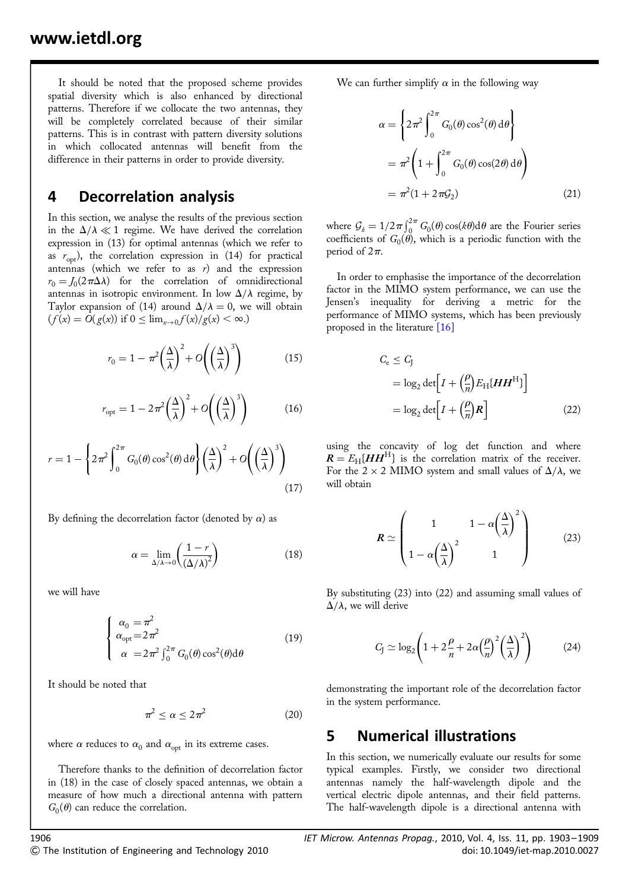It should be noted that the proposed scheme provides spatial diversity which is also enhanced by directional patterns. Therefore if we collocate the two antennas, they will be completely correlated because of their similar patterns. This is in contrast with pattern diversity solutions in which collocated antennas will benefit from the difference in their patterns in order to provide diversity.

## 4 Decorrelation analysis

In this section, we analyse the results of the previous section in the  $\Delta/\lambda \ll 1$  regime. We have derived the correlation expression in (13) for optimal antennas (which we refer to as  $r_{\text{opt}}$ ), the correlation expression in (14) for practical antennas (which we refer to as  $r$ ) and the expression  $r_0 = J_0(2\pi\Delta\lambda)$  for the correlation of omnidirectional antennas in isotropic environment. In low  $\Delta/\lambda$  regime, by Taylor expansion of (14) around  $\Delta/\lambda = 0$ , we will obtain  $(f(x) = O(g(x))$  if  $0 \leq \lim_{x\to 0} f(x)/g(x) < \infty$ .)

$$
r_0 = 1 - \pi^2 \left(\frac{\Delta}{\lambda}\right)^2 + O\left(\left(\frac{\Delta}{\lambda}\right)^3\right) \tag{15}
$$

$$
r_{\rm opt} = 1 - 2\pi^2 \left(\frac{\Delta}{\lambda}\right)^2 + O\left(\left(\frac{\Delta}{\lambda}\right)^3\right) \tag{16}
$$

$$
r = 1 - \left\{ 2\pi^2 \int_0^{2\pi} G_0(\theta) \cos^2(\theta) d\theta \right\} \left( \frac{\Delta}{\lambda} \right)^2 + O\left( \left( \frac{\Delta}{\lambda} \right)^3 \right)
$$
\n(17)

By defining the decorrelation factor (denoted by  $\alpha$ ) as

$$
\alpha = \lim_{\Delta/\lambda \to 0} \left( \frac{1 - r}{\left(\Delta/\lambda\right)^2} \right) \tag{18}
$$

we will have

$$
\begin{cases}\n\alpha_0 = \pi^2 \\
\alpha_{\text{opt}} = 2\pi^2 \\
\alpha = 2\pi^2 \int_0^{2\pi} G_0(\theta) \cos^2(\theta) d\theta\n\end{cases}
$$
\n(19)

It should be noted that

$$
\pi^2 \le \alpha \le 2\pi^2 \tag{20}
$$

where  $\alpha$  reduces to  $\alpha_0$  and  $\alpha_{\text{opt}}$  in its extreme cases.

Therefore thanks to the definition of decorrelation factor in (18) in the case of closely spaced antennas, we obtain a measure of how much a directional antenna with pattern  $G_0(\theta)$  can reduce the correlation.

We can further simplify  $\alpha$  in the following way

$$
\alpha = \left\{ 2\pi^2 \int_0^{2\pi} G_0(\theta) \cos^2(\theta) d\theta \right\}
$$
  
=  $\pi^2 \left( 1 + \int_0^{2\pi} G_0(\theta) \cos(2\theta) d\theta \right)$   
=  $\pi^2 (1 + 2\pi \mathcal{G}_2)$  (21)

where  $G_k = 1/2\pi \int_0^{2\pi} G_0(\theta) \cos(k\theta) d\theta$  are the Fourier series coefficients of  $G_0(\theta)$ , which is a periodic function with the period of  $2\pi$ .

In order to emphasise the importance of the decorrelation factor in the MIMO system performance, we can use the Jensen's inequality for deriving a metric for the performance of MIMO systems, which has been previously proposed in the literature [16]

$$
C_{\rm e} \le C_{\rm J}
$$
  
=  $\log_2 \det \left[ I + \left( \frac{\rho}{n} \right) E_{\rm H} \{ H H^{\rm H} \} \right]$   
=  $\log_2 \det \left[ I + \left( \frac{\rho}{n} \right) R \right]$  (22)

using the concavity of log det function and where  $R = E_{\text{H}}[HH^{\text{H}}]$  is the correlation matrix of the receiver. For the 2  $\times$  2 MIMO system and small values of  $\Delta/\lambda$ , we will obtain

$$
R \simeq \begin{pmatrix} 1 & 1 - \alpha \left(\frac{\Delta}{\lambda}\right)^2 \\ 1 - \alpha \left(\frac{\Delta}{\lambda}\right)^2 & 1 \end{pmatrix}
$$
 (23)

By substituting (23) into (22) and assuming small values of  $\Delta/\lambda$ , we will derive

$$
C_{J} \simeq \log_2 \left( 1 + 2\frac{\rho}{n} + 2\alpha \left(\frac{\rho}{n}\right)^2 \left(\frac{\Delta}{\lambda}\right)^2 \right) \tag{24}
$$

demonstrating the important role of the decorrelation factor in the system performance.

### 5 Numerical illustrations

In this section, we numerically evaluate our results for some typical examples. Firstly, we consider two directional antennas namely the half-wavelength dipole and the vertical electric dipole antennas, and their field patterns. The half-wavelength dipole is a directional antenna with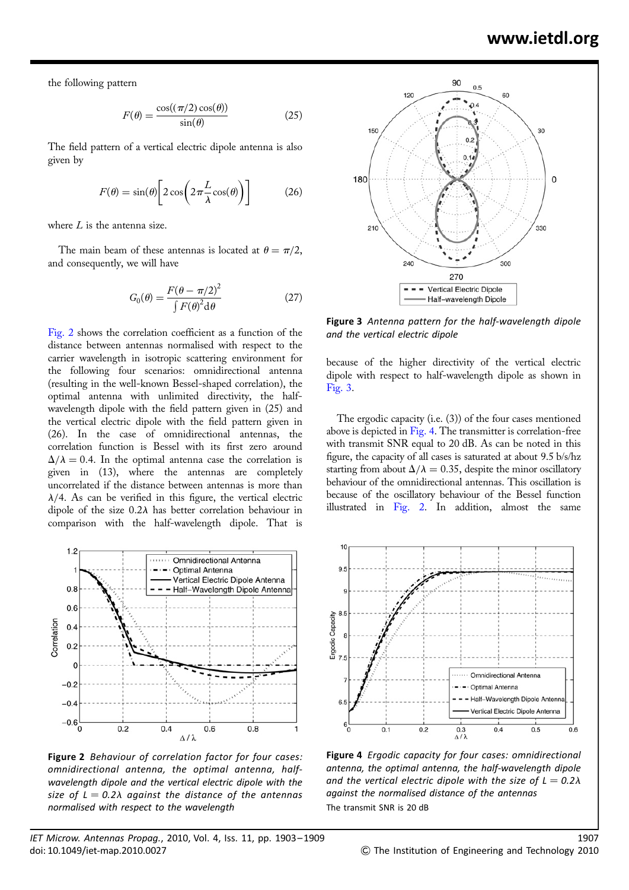the following pattern

$$
F(\theta) = \frac{\cos((\pi/2)\cos(\theta))}{\sin(\theta)}
$$
 (25)

The field pattern of a vertical electric dipole antenna is also given by

$$
F(\theta) = \sin(\theta) \left[ 2 \cos \left( 2 \pi \frac{L}{\lambda} \cos(\theta) \right) \right]
$$
 (26)

where  $L$  is the antenna size.

The main beam of these antennas is located at  $\theta = \pi/2$ , and consequently, we will have

$$
G_0(\theta) = \frac{F(\theta - \pi/2)^2}{\int F(\theta)^2 d\theta}
$$
 (27)

Fig. 2 shows the correlation coefficient as a function of the distance between antennas normalised with respect to the carrier wavelength in isotropic scattering environment for the following four scenarios: omnidirectional antenna (resulting in the well-known Bessel-shaped correlation), the optimal antenna with unlimited directivity, the halfwavelength dipole with the field pattern given in (25) and the vertical electric dipole with the field pattern given in (26). In the case of omnidirectional antennas, the correlation function is Bessel with its first zero around  $\Delta/\lambda = 0.4$ . In the optimal antenna case the correlation is given in (13), where the antennas are completely uncorrelated if the distance between antennas is more than  $\lambda/4$ . As can be verified in this figure, the vertical electric dipole of the size  $0.2\lambda$  has better correlation behaviour in comparison with the half-wavelength dipole. That is



Figure 2 Behaviour of correlation factor for four cases: omnidirectional antenna, the optimal antenna, halfwavelength dipole and the vertical electric dipole with the size of  $L = 0.2\lambda$  against the distance of the antennas normalised with respect to the wavelength



Figure 3 Antenna pattern for the half-wavelength dipole and the vertical electric dipole

because of the higher directivity of the vertical electric dipole with respect to half-wavelength dipole as shown in Fig. 3.

The ergodic capacity (i.e. (3)) of the four cases mentioned above is depicted in Fig. 4. The transmitter is correlation-free with transmit SNR equal to 20 dB. As can be noted in this figure, the capacity of all cases is saturated at about 9.5 b/s/hz starting from about  $\Delta/\lambda = 0.35$ , despite the minor oscillatory behaviour of the omnidirectional antennas. This oscillation is because of the oscillatory behaviour of the Bessel function illustrated in Fig. 2. In addition, almost the same



Figure 4 Ergodic capacity for four cases: omnidirectional antenna, the optimal antenna, the half-wavelength dipole and the vertical electric dipole with the size of  $L = 0.2\lambda$ against the normalised distance of the antennas The transmit SNR is 20 dB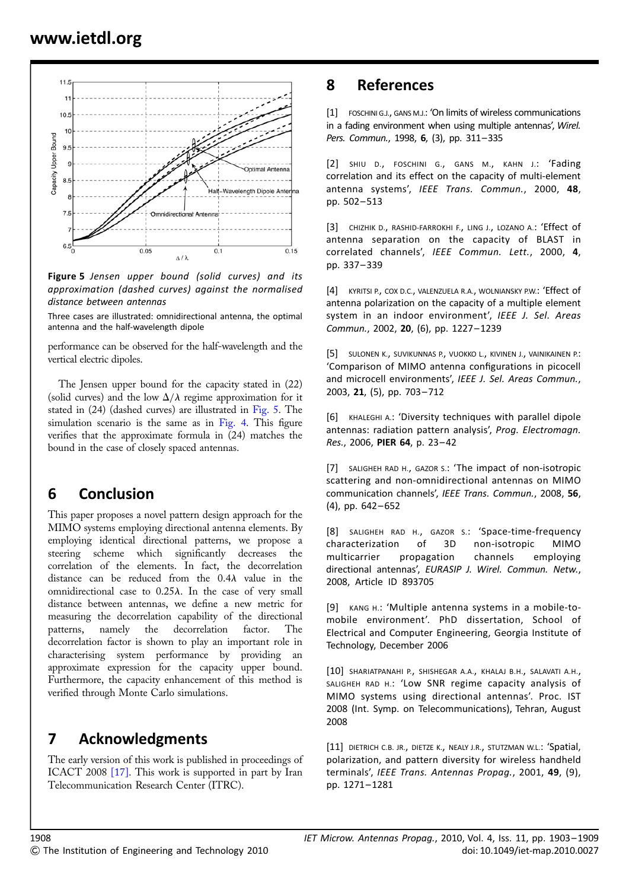

Figure 5 Jensen upper bound (solid curves) and its approximation (dashed curves) against the normalised distance between antennas

Three cases are illustrated: omnidirectional antenna, the optimal antenna and the half-wavelength dipole

performance can be observed for the half-wavelength and the vertical electric dipoles.

The Jensen upper bound for the capacity stated in (22) (solid curves) and the low  $\Delta/\lambda$  regime approximation for it stated in (24) (dashed curves) are illustrated in Fig. 5. The simulation scenario is the same as in Fig. 4. This figure verifies that the approximate formula in (24) matches the bound in the case of closely spaced antennas.

## 6 Conclusion

This paper proposes a novel pattern design approach for the MIMO systems employing directional antenna elements. By employing identical directional patterns, we propose a steering scheme which significantly decreases the correlation of the elements. In fact, the decorrelation distance can be reduced from the  $0.4\lambda$  value in the omnidirectional case to  $0.25\lambda$ . In the case of very small distance between antennas, we define a new metric for measuring the decorrelation capability of the directional patterns, namely the decorrelation factor. The decorrelation factor is shown to play an important role in characterising system performance by providing an approximate expression for the capacity upper bound. Furthermore, the capacity enhancement of this method is verified through Monte Carlo simulations.

## 7 Acknowledgments

The early version of this work is published in proceedings of ICACT 2008 [17]. This work is supported in part by Iran Telecommunication Research Center (ITRC).

### 8 References

[1] FOSCHINI G.J., GANS M.J.: 'On limits of wireless communications in a fading environment when using multiple antennas', Wirel. Pers. Commun., 1998, 6, (3), pp. 311–335

[2] SHIU D., FOSCHINI G., GANS M., KAHN J.: 'Fading correlation and its effect on the capacity of multi-element antenna systems', IEEE Trans. Commun., 2000, 48, pp. 502– 513

[3] CHIZHIK D., RASHID-FARROKHI F., LING J., LOZANO A.: 'Effect of antenna separation on the capacity of BLAST in correlated channels', IEEE Commun. Lett., 2000, 4, pp. 337– 339

[4] KYRITSI P., COX D.C., VALENZUELA R.A., WOLNIANSKY P.W.: 'Effect of antenna polarization on the capacity of a multiple element system in an indoor environment', IEEE J. Sel. Areas Commun., 2002, 20, (6), pp. 1227– 1239

[5] SULONEN K., SUVIKUNNAS P., VUOKKO L., KIVINEN J., VAINIKAINEN P.: 'Comparison of MIMO antenna configurations in picocell and microcell environments', IEEE J. Sel. Areas Commun., 2003, 21, (5), pp. 703– 712

[6] KHALEGHI A.: 'Diversity techniques with parallel dipole antennas: radiation pattern analysis', Prog. Electromagn. Res., 2006, PIER 64, p. 23-42

[7] SALIGHEH RAD H., GAZOR S.: 'The impact of non-isotropic scattering and non-omnidirectional antennas on MIMO communication channels', IEEE Trans. Commun., 2008, 56,  $(4)$ , pp.  $642 - 652$ 

[8] SALIGHEH RAD H., GAZOR S.: 'Space-time-frequency characterization of 3D non-isotropic MIMO multicarrier propagation channels employing directional antennas', EURASIP J. Wirel. Commun. Netw., 2008, Article ID 893705

[9] KANG H.: 'Multiple antenna systems in a mobile-tomobile environment'. PhD dissertation, School of Electrical and Computer Engineering, Georgia Institute of Technology, December 2006

[10] SHARIATPANAHI P., SHISHEGAR A.A., KHALAJ B.H., SALAVATI A.H., SALIGHEH RAD H.: 'Low SNR regime capacity analysis of MIMO systems using directional antennas'. Proc. IST 2008 (Int. Symp. on Telecommunications), Tehran, August 2008

[11] DIETRICH C.B. JR., DIETZE K., NEALY J.R., STUTZMAN W.L.: 'Spatial, polarization, and pattern diversity for wireless handheld terminals', IEEE Trans. Antennas Propag., 2001, 49, (9), pp. 1271– 1281